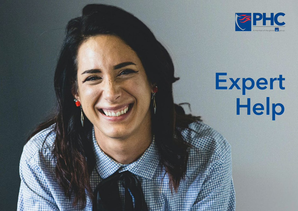

# Expert Help